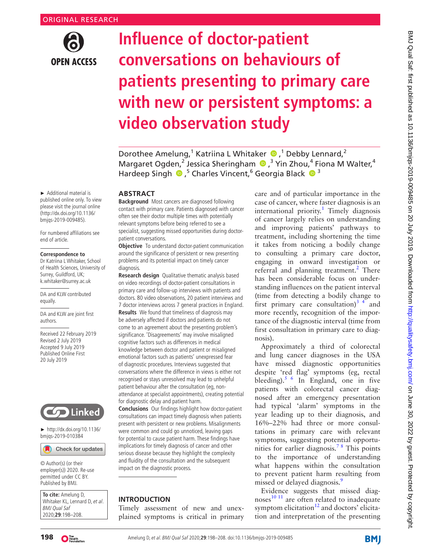

# **Influence of doctor-patient conversations on behaviours of patients presenting to primary care with new or persistent symptoms: a video observation study**

DorotheeAmelung,<sup>1</sup> Katriina L Whitaker  $\bullet$ ,<sup>1</sup> Debby Lennard,<sup>2</sup> Margaret Ogden,<sup>2</sup> Jessica Sheringham (D,<sup>3</sup> Yin Zhou,<sup>4</sup> Fiona M Walter,<sup>4</sup> Hardeep Singh  $\bullet$ ,<sup>5</sup> Charles Vincent,<sup>6</sup> Georgia Black  $\bullet$ <sup>3</sup>

#### **ABSTRACT**

**Background** Most cancers are diagnosed following contact with primary care. Patients diagnosed with cancer often see their doctor multiple times with potentially relevant symptoms before being referred to see a specialist, suggesting missed opportunities during doctorpatient conversations.

**Objective** To understand doctor-patient communication around the significance of persistent or new presenting problems and its potential impact on timely cancer diagnosis.

**Research design** Qualitative thematic analysis based on video recordings of doctor-patient consultations in primary care and follow-up interviews with patients and doctors. 80 video observations, 20 patient interviews and 7 doctor interviews across 7 general practices in England. **Results** We found that timeliness of diagnosis may be adversely affected if doctors and patients do not come to an agreement about the presenting problem's significance. 'Disagreements' may involve misaligned cognitive factors such as differences in medical knowledge between doctor and patient or misaligned emotional factors such as patients' unexpressed fear of diagnostic procedures. Interviews suggested that conversations where the difference in views is either not recognised or stays unresolved may lead to unhelpful patient behaviour after the consultation (eg, nonattendance at specialist appointments), creating potential for diagnostic delay and patient harm.

**Conclusions** Our findings highlight how doctor-patient consultations can impact timely diagnosis when patients present with persistent or new problems. Misalignments were common and could go unnoticed, leaving gaps for potential to cause patient harm. These findings have implications for timely diagnosis of cancer and other serious disease because they highlight the complexity and fluidity of the consultation and the subsequent impact on the diagnostic process.

## **Introduction**

Timely assessment of new and unexplained symptoms is critical in primary care and of particular importance in the case of cancer, where faster diagnosis is an international priority.<sup>[1](#page-8-0)</sup> Timely diagnosis of cancer largely relies on understanding and improving patients' pathways to treatment, including shortening the time it takes from noticing a bodily change to consulting a primary care doctor, engaging in onward investigation or referral and planning treatment.<sup>[2](#page-9-0)</sup> There has been considerable focus on understanding influences on the patient interval (time from detecting a bodily change to first primary care consultation)<sup>3</sup> 4 and more recently, recognition of the importance of the diagnostic interval (time from first consultation in primary care to diagnosis).

Approximately a third of colorectal and lung cancer diagnoses in the USA have missed diagnostic opportunities despite 'red flag' symptoms (eg, rectal bleeding).<sup>[5 6](#page-9-2)</sup> In England, one in five patients with colorectal cancer diagnosed after an emergency presentation had typical 'alarm' symptoms in the year leading up to their diagnosis, and 16%–22% had three or more consultations in primary care with relevant symptoms, suggesting potential opportunities for earlier diagnosis.<sup>78</sup> This points to the importance of understanding what happens within the consultation to prevent patient harm resulting from missed or delayed diagnosis.<sup>[9](#page-9-4)</sup>

Evidence suggests that missed diagnoses $^{10}$ <sup>11</sup> are often related to inadequate symptom elicitation $12$  and doctors' elicitation and interpretation of the presenting

► Additional material is published online only. To view please visit the journal online [\(http://dx.doi.org/10.1136/](http://dx.doi.org/10.1136/bmjqs-2019-009485) [bmjqs-2019-009485](http://dx.doi.org/10.1136/bmjqs-2019-009485)).

For numbered affiliations see end of article.

#### **Correspondence to**

Dr Katriina L Whitaker, School of Health Sciences, University of Surrey, Guildford, UK; k.whitaker@surrey.ac.uk

DA and KLW contributed equally.

DA and KLW are joint first authors.

Received 22 February 2019 Revised 2 July 2019 Accepted 9 July 2019 Published Online First 20 July 2019



► [http://dx.doi.org/10.1136/](http://dx.doi.org/10.1136/bmjqs-2019-010384) [bmjqs-2019-010384](http://dx.doi.org/10.1136/bmjqs-2019-010384)

Check for updates

© Author(s) (or their employer(s)) 2020. Re-use permitted under CC BY. Published by BMJ.

**To cite:** Amelung D, Whitaker KL, Lennard D, et al. BMJ Qual Saf 2020;**29**:198–208.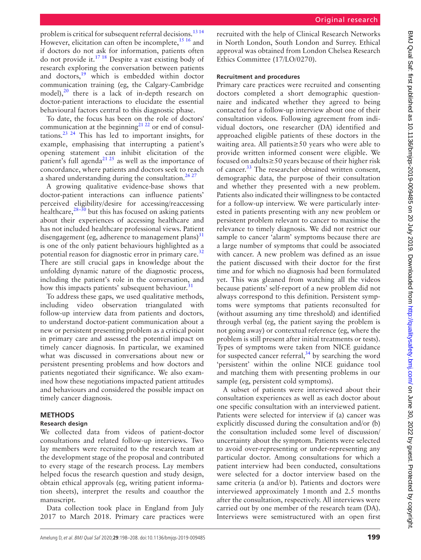problem is critical for subsequent referral decisions.<sup>[13 14](#page-9-7)</sup> However, elicitation can often be incomplete,  $15 \frac{16}{16}$  and if doctors do not ask for information, patients often do not provide it.[17 18](#page-9-9) Despite a vast existing body of research exploring the conversation between patients and doctors,[19](#page-9-10) which is embedded within doctor communication training (eg, the Calgary-Cambridge model), $^{20}$  $^{20}$  $^{20}$  there is a lack of in-depth research on doctor-patient interactions to elucidate the essential behavioural factors central to this diagnostic phase.

To date, the focus has been on the role of doctors' communication at the beginning<sup>[21 22](#page-9-12)</sup> or end of consultations.[23 24](#page-9-13) This has led to important insights, for example, emphasising that interrupting a patient's opening statement can inhibit elicitation of the patient's full agenda<sup>21 25</sup> as well as the importance of concordance, where patients and doctors seek to reach a shared understanding during the consultation.<sup>26,27</sup>

A growing qualitative evidence-base shows that doctor-patient interactions can influence patients' perceived eligibility/desire for accessing/reaccessing healthcare, $28-30$  but this has focused on asking patients about their experiences of accessing healthcare and has not included healthcare professional views. Patient disengagement (eg, adherence to management plans) $31$ is one of the only patient behaviours highlighted as a potential reason for diagnostic error in primary care.<sup>[32](#page-9-17)</sup> There are still crucial gaps in knowledge about the unfolding dynamic nature of the diagnostic process, including the patient's role in the conversation, and how this impacts patients' subsequent behaviour.<sup>[31](#page-9-16)</sup>

To address these gaps, we used qualitative methods, including video observation triangulated with follow-up interview data from patients and doctors, to understand doctor-patient communication about a new or persistent presenting problem as a critical point in primary care and assessed the potential impact on timely cancer diagnosis. In particular, we examined what was discussed in conversations about new or persistent presenting problems and how doctors and patients negotiated their significance. We also examined how these negotiations impacted patient attitudes and behaviours and considered the possible impact on timely cancer diagnosis.

# **Methods**

# **Research design**

We collected data from videos of patient-doctor consultations and related follow-up interviews. Two lay members were recruited to the research team at the development stage of the proposal and contributed to every stage of the research process. Lay members helped focus the research question and study design, obtain ethical approvals (eg, writing patient information sheets), interpret the results and coauthor the manuscript.

Data collection took place in England from July 2017 to March 2018. Primary care practices were

recruited with the help of Clinical Research Networks in North London, South London and Surrey. Ethical approval was obtained from London Chelsea Research Ethics Committee (17/LO/0270).

# **Recruitment and procedures**

Primary care practices were recruited and consenting doctors completed a short demographic questionnaire and indicated whether they agreed to being contacted for a follow-up interview about one of their consultation videos. Following agreement from individual doctors, one researcher (DA) identified and approached eligible patients of these doctors in the waiting area. All patients≥50 years who were able to provide written informed consent were eligible. We focused on adults≥50 years because of their higher risk of cancer.<sup>[33](#page-9-18)</sup> The researcher obtained written consent, demographic data, the purpose of their consultation and whether they presented with a new problem. Patients also indicated their willingness to be contacted for a follow-up interview. We were particularly interested in patients presenting with any new problem or persistent problem relevant to cancer to maximise the relevance to timely diagnosis. We did not restrict our sample to cancer 'alarm' symptoms because there are a large number of symptoms that could be associated with cancer. A new problem was defined as an issue the patient discussed with their doctor for the first time and for which no diagnosis had been formulated yet. This was gleaned from watching all the videos because patients' self-report of a new problem did not always correspond to this definition. Persistent symptoms were symptoms that patients reconsulted for (without assuming any time threshold) and identified through verbal (eg, the patient saying the problem is not going away) or contextual reference (eg, where the problem is still present after initial treatments or tests). Types of symptoms were taken from NICE guidance for suspected cancer referral, $34$  by searching the word 'persistent' within the online NICE guidance tool and matching them with presenting problems in our sample (eg, persistent cold symptoms).

A subset of patients were interviewed about their consultation experiences as well as each doctor about one specific consultation with an interviewed patient. Patients were selected for interview if (a) cancer was explicitly discussed during the consultation and/or (b) the consultation included some level of discussion/ uncertainty about the symptom. Patients were selected to avoid over-representing or under-representing any particular doctor. Among consultations for which a patient interview had been conducted, consultations were selected for a doctor interview based on the same criteria (a and/or b). Patients and doctors were interviewed approximately 1month and 2.5 months after the consultation, respectively. All interviews were carried out by one member of the research team (DA). Interviews were semistructured with an open first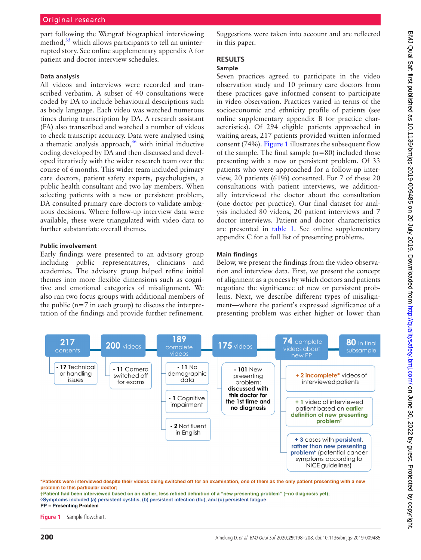part following the Wengraf biographical interviewing method, $35$  which allows participants to tell an uninterrupted story. See [online supplementary appendix A](https://dx.doi.org/10.1136/bmjqs-2019-009485) for patient and doctor interview schedules.

#### **Data analysis**

All videos and interviews were recorded and transcribed verbatim. A subset of 40 consultations were coded by DA to include behavioural descriptions such as body language. Each video was watched numerous times during transcription by DA. A research assistant (FA) also transcribed and watched a number of videos to check transcript accuracy. Data were analysed using a thematic analysis approach, $36$  with initial inductive coding developed by DA and then discussed and developed iteratively with the wider research team over the course of 6months. This wider team included primary care doctors, patient safety experts, psychologists, a public health consultant and two lay members. When selecting patients with a new or persistent problem, DA consulted primary care doctors to validate ambiguous decisions. Where follow-up interview data were available, these were triangulated with video data to further substantiate overall themes.

#### **Public involvement**

Early findings were presented to an advisory group including public representatives, clinicians and academics. The advisory group helped refine initial themes into more flexible dimensions such as cognitive and emotional categories of misalignment. We also ran two focus groups with additional members of the public  $(n=7$  in each group) to discuss the interpretation of the findings and provide further refinement. Suggestions were taken into account and are reflected in this paper.

# **Results**

#### **Sample**

Seven practices agreed to participate in the video observation study and 10 primary care doctors from these practices gave informed consent to participate in video observation. Practices varied in terms of the socioeconomic and ethnicity profile of patients (see [online supplementary appendix B](https://dx.doi.org/10.1136/bmjqs-2019-009485) for practice characteristics). Of 294 eligible patients approached in waiting areas, 217 patients provided written informed consent (74%). [Figure](#page-2-0) 1 illustrates the subsequent flow of the sample. The final sample  $(n=80)$  included those presenting with a new or persistent problem. Of 33 patients who were approached for a follow-up interview, 20 patients (61%) consented. For 7 of these 20 consultations with patient interviews, we additionally interviewed the doctor about the consultation (one doctor per practice). Our final dataset for analysis included 80 videos, 20 patient interviews and 7 doctor interviews. Patient and doctor characteristics are presented in [table](#page-3-0) 1. See [online supplementary](https://dx.doi.org/10.1136/bmjqs-2019-009485) [appendix C](https://dx.doi.org/10.1136/bmjqs-2019-009485) for a full list of presenting problems.

#### **Main findings**

Below, we present the findings from the video observation and interview data. First, we present the concept of alignment as a process by which doctors and patients negotiate the significance of new or persistent problems. Next, we describe different types of misalignment—where the patient's expressed significance of a presenting problem was either higher or lower than



\*Patients were interviewed despite their videos being switched off for an examination, one of them as the only patient presenting with a new problem to this particular doctor:

<span id="page-2-0"></span>†Patient had been interviewed based on an earlier, less refined definition of a "new presenting problem" (=no diagnosis yet); ◊Symptoms included (a) persistent cystitis, (b) persistent infection (flu), and (c) persistent fatigue **PP = Presenting Problem** 

**Figure 1** Sample flowchart.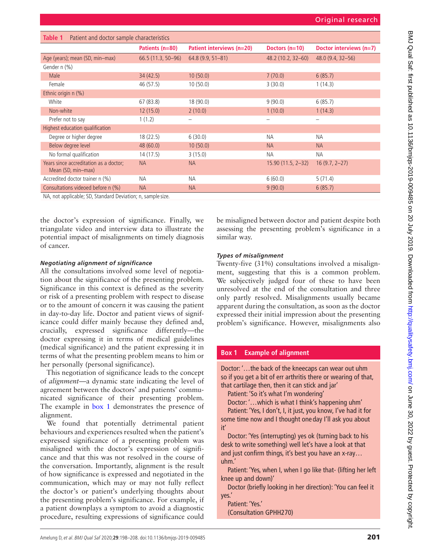<span id="page-3-0"></span>

| Table 1<br>Patient and doctor sample characteristics         |                     |                           |                     |                           |  |
|--------------------------------------------------------------|---------------------|---------------------------|---------------------|---------------------------|--|
|                                                              | Patients (n=80)     | Patient interviews (n=20) | Doctors $(n=10)$    | Doctor interviews $(n=7)$ |  |
| Age (years); mean (SD, min-max)                              | $66.5(11.3, 50-96)$ | $64.8(9.9, 51 - 81)$      | 48.2 (10.2, 32-60)  | $48.0(9.4, 32 - 56)$      |  |
| Gender n (%)                                                 |                     |                           |                     |                           |  |
| Male                                                         | 34(42.5)            | 10(50.0)                  | 7(70.0)             | 6(85.7)                   |  |
| Female                                                       | 46 (57.5)           | 10(50.0)                  | 3(30.0)             | 1(14.3)                   |  |
| Ethnic origin n (%)                                          |                     |                           |                     |                           |  |
| White                                                        | 67 (83.8)           | 18 (90.0)                 | 9(90.0)             | 6(85.7)                   |  |
| Non-white                                                    | 12(15.0)            | 2(10.0)                   | 1(10.0)             | 1(14.3)                   |  |
| Prefer not to say                                            | 1(1.2)              |                           | -                   | $\overline{\phantom{0}}$  |  |
| Highest education qualification                              |                     |                           |                     |                           |  |
| Degree or higher degree                                      | 18 (22.5)           | 6(30.0)                   | <b>NA</b>           | <b>NA</b>                 |  |
| Below degree level                                           | 48(60.0)            | 10(50.0)                  | <b>NA</b>           | <b>NA</b>                 |  |
| No formal qualification                                      | 14(17.5)            | 3(15.0)                   | <b>NA</b>           | <b>NA</b>                 |  |
| Years since accreditation as a doctor;<br>Mean (SD, min-max) | <b>NA</b>           | <b>NA</b>                 | $15.90(11.5, 2-32)$ | $16(9.7, 2-27)$           |  |
| Accredited doctor trainer n (%)                              | <b>NA</b>           | <b>NA</b>                 | 6(60.0)             | 5(71.4)                   |  |
| Consultations videoed before n (%)                           | <b>NA</b>           | <b>NA</b>                 | 9(90.0)             | 6(85.7)                   |  |

NA, not applicable; SD, Standard Deviation; n, sample size.

the doctor's expression of significance. Finally, we triangulate video and interview data to illustrate the potential impact of misalignments on timely diagnosis of cancer.

#### *Negotiating alignment of significance*

All the consultations involved some level of negotiation about the significance of the presenting problem. Significance in this context is defined as the severity or risk of a presenting problem with respect to disease or to the amount of concern it was causing the patient in day-to-day life. Doctor and patient views of significance could differ mainly because they defined and, crucially, expressed significance differently—the doctor expressing it in terms of medical guidelines (medical significance) and the patient expressing it in terms of what the presenting problem means to him or her personally (personal significance).

This negotiation of significance leads to the concept of *alignment*—a dynamic state indicating the level of agreement between the doctors' and patients' communicated significance of their presenting problem. The example in [box](#page-3-1) 1 demonstrates the presence of alignment.

We found that potentially detrimental patient behaviours and experiences resulted when the patient's expressed significance of a presenting problem was misaligned with the doctor's expression of significance and that this was not resolved in the course of the conversation. Importantly, alignment is the result of how significance is expressed and negotiated in the communication, which may or may not fully reflect the doctor's or patient's underlying thoughts about the presenting problem's significance. For example, if a patient downplays a symptom to avoid a diagnostic procedure, resulting expressions of significance could

be misaligned between doctor and patient despite both assessing the presenting problem's significance in a similar way.

## *Types of misalignment*

Twenty-five (31%) consultations involved a misalignment, suggesting that this is a common problem. We subjectively judged four of these to have been unresolved at the end of the consultation and three only partly resolved. Misalignments usually became apparent during the consultation, as soon as the doctor expressed their initial impression about the presenting problem's significance. However, misalignments also

# **Box 1 Example of alignment**

<span id="page-3-1"></span>Doctor: '…the back of the kneecaps can wear out uhm so if you get a bit of err arthritis there or wearing of that, that cartilage then, then it can stick and jar'

Patient: 'So it's what I'm wondering'

Doctor: '…which is what I think's happening uhm'

Patient: 'Yes, I don't, I, it just, you know, I've had it for some time now and I thought one day I'll ask you about it'

Doctor: 'Yes (interrupting) yes ok (turning back to his desk to write something) well let's have a look at that and just confirm things, it's best you have an x-ray… uhm.'

Patient: 'Yes, when I, when I go like that- (lifting her left knee up and down)'

Doctor (briefly looking in her direction): 'You can feel it yes.'

Patient: 'Yes.' (Consultation GPHH270)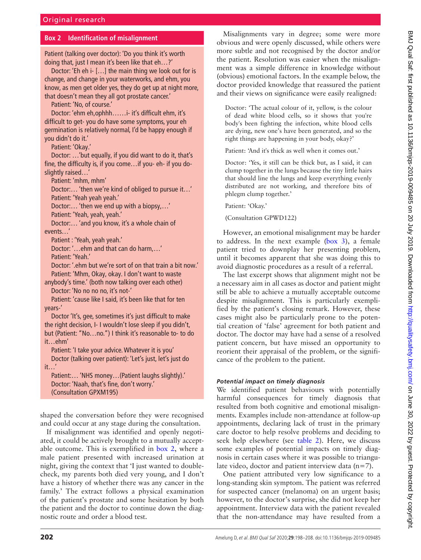## **Box 2 Identification of misalignment**

<span id="page-4-0"></span>Patient (talking over doctor): 'Do you think it's worth doing that, just I mean it's been like that eh…?'

Doctor: 'Eh eh i- […] the main thing we look out for is change, and change in your waterworks, and ehm, you know, as men get older yes, they do get up at night more, that doesn't mean they all got prostate cancer.'

Patient: 'No, of course.'

Doctor: 'ehm eh,ophhh……i- it's difficult ehm, it's difficult to get- you do have some symptoms, your eh germination is relatively normal, I'd be happy enough if you didn't do it.'

Patient: 'Okay.'

Doctor: …'but equally, if you did want to do it, that's fine, the difficulty is, if you come…if you- eh- if you doslightly raised...

Patient: 'mhm, mhm'

Doctor:… 'then we're kind of obliged to pursue it…' Patient: 'Yeah yeah yeah.'

Doctor:… 'then we end up with a biopsy,…'

Patient: 'Yeah, yeah, yeah.'

Doctor:… 'and you know, it's a whole chain of events…'

Patient : 'Yeah, yeah yeah.'

Doctor: '…ehm and that can do harm,…'

Patient: 'Yeah.'

Doctor: '.ehm but we're sort of on that train a bit now.' Patient: 'Mhm, Okay, okay. I don't want to waste

anybody's time.' (both now talking over each other) Doctor: 'No no no no, it's not-'

Patient: 'cause like I said, it's been like that for ten years-'

Doctor 'It's, gee, sometimes it's just difficult to make the right decision, I- I wouldn't lose sleep if you didn't, but (Patient: "No…no.") I think it's reasonable to- to do it…ehm'

Patient: 'I take your advice. Whatever it is you' Doctor (talking over patient): 'Let's just, let's just do it…'

Patient:… 'NHS money…(Patient laughs slightly).' Doctor: 'Naah, that's fine, don't worry.' (Consultation GPXM195)

shaped the conversation before they were recognised and could occur at any stage during the consultation.

If misalignment was identified and openly negotiated, it could be actively brought to a mutually acceptable outcome. This is exemplified in [box](#page-4-0) 2, where a male patient presented with increased urination at night, giving the context that 'I just wanted to doublecheck, my parents both died very young, and I don't have a history of whether there was any cancer in the family.' The extract follows a physical examination of the patient's prostate and some hesitation by both the patient and the doctor to continue down the diagnostic route and order a blood test.

Misalignments vary in degree; some were more obvious and were openly discussed, while others were more subtle and not recognised by the doctor and/or the patient. Resolution was easier when the misalignment was a simple difference in knowledge without (obvious) emotional factors. In the example below, the doctor provided knowledge that reassured the patient and their views on significance were easily realigned:

Doctor: 'The actual colour of it, yellow, is the colour of dead white blood cells, so it shows that you're body's been fighting the infection, white blood cells are dying, new one's have been generated, and so the right things are happening in your body, okay?'

Patient: 'And it's thick as well when it comes out.'

Doctor: 'Yes, it still can be thick but, as I said, it can clump together in the lungs because the tiny little hairs that should line the lungs and keep everything evenly distributed are not working, and therefore bits of phlegm clump together.'

Patient: 'Okay.'

(Consultation GPWD122)

However, an emotional misalignment may be harder to address. In the next example ([box](#page-5-0) 3), a female patient tried to downplay her presenting problem, until it becomes apparent that she was doing this to avoid diagnostic procedures as a result of a referral.

The last excerpt shows that alignment might not be a necessary aim in all cases as doctor and patient might still be able to achieve a mutually acceptable outcome despite misalignment. This is particularly exemplified by the patient's closing remark. However, these cases might also be particularly prone to the potential creation of 'false' agreement for both patient and doctor. The doctor may have had a sense of a resolved patient concern, but have missed an opportunity to reorient their appraisal of the problem, or the significance of the problem to the patient.

#### *Potential impact on timely diagnosis*

We identified patient behaviours with potentially harmful consequences for timely diagnosis that resulted from both cognitive and emotional misalignments. Examples include non-attendance at follow-up appointments, declaring lack of trust in the primary care doctor to help resolve problems and deciding to seek help elsewhere (see [table](#page-6-0) 2). Here, we discuss some examples of potential impacts on timely diagnosis in certain cases where it was possible to triangulate video, doctor and patient interview data  $(n=7)$ .

One patient attributed very low significance to a long-standing skin symptom. The patient was referred for suspected cancer (melanoma) on an urgent basis; however, to the doctor's surprise, she did not keep her appointment. Interview data with the patient revealed that the non-attendance may have resulted from a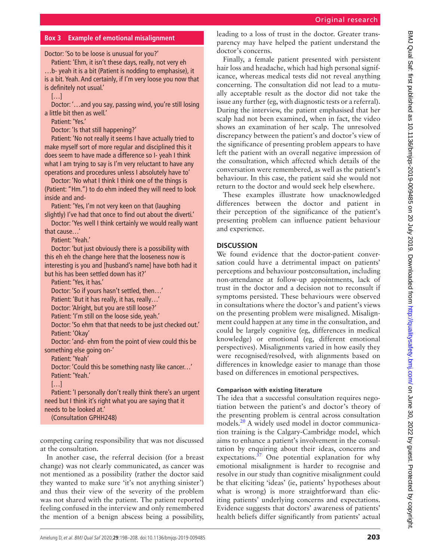# **Box 3 Example of emotional misalignment**

<span id="page-5-0"></span>Doctor: 'So to be loose is unusual for you?'

Patient: 'Ehm, it isn't these days, really, not very eh …b- yeah it is a bit (Patient is nodding to emphasise), it is a bit. Yeah. And certainly, if I'm very loose you now that is definitely not usual.'

 $[...]$ 

Doctor: '…and you say, passing wind, you're still losing a little bit then as well.'

Patient: 'Yes.'

Doctor: 'Is that still happening?'

Patient: 'No not really it seems I have actually tried to make myself sort of more regular and disciplined this it does seem to have made a difference so I- yeah I think what I am trying to say is I'm very reluctant to have any operations and procedures unless I absolutely have to'

Doctor: 'No what I think I think one of the things is (Patient: "Hm.") to do ehm indeed they will need to look inside and and-

Patient: 'Yes, I'm not very keen on that (laughing slightly) I've had that once to find out about the diverti.'

Doctor: 'Yes well I think certainly we would really want that cause…'

Patient: 'Yeah.'

Doctor: 'but just obviously there is a possibility with this eh eh the change here that the looseness now is interesting is you and [husband's name] have both had it but his has been settled down has it?'

Patient: 'Yes, it has.'

Doctor: 'So if yours hasn't settled, then…'

Patient: 'But it has really, it has, really…'

Doctor: 'Alright, but you are still loose?'

Patient: 'I'm still on the loose side, yeah.'

Doctor: 'So ehm that that needs to be just checked out.' Patient: 'Okay'

Doctor: 'and- ehm from the point of view could this be something else going on-'

Patient: 'Yeah'

Doctor: 'Could this be something nasty like cancer…' Patient: 'Yeah.'

[…]

Patient: 'I personally don't really think there's an urgent need but I think it's right what you are saying that it needs to be looked at.' (Consultation GPHH248)

competing caring responsibility that was not discussed at the consultation.

In another case, the referral decision (for a breast change) was not clearly communicated, as cancer was not mentioned as a possibility (rather the doctor said they wanted to make sure 'it's not anything sinister') and thus their view of the severity of the problem was not shared with the patient. The patient reported feeling confused in the interview and only remembered the mention of a benign abscess being a possibility,

leading to a loss of trust in the doctor. Greater transparency may have helped the patient understand the doctor's concerns.

Finally, a female patient presented with persistent hair loss and headache, which had high personal significance, whereas medical tests did not reveal anything concerning. The consultation did not lead to a mutually acceptable result as the doctor did not take the issue any further (eg, with diagnostic tests or a referral). During the interview, the patient emphasised that her scalp had not been examined, when in fact, the video shows an examination of her scalp. The unresolved discrepancy between the patient's and doctor's view of the significance of presenting problem appears to have left the patient with an overall negative impression of the consultation, which affected which details of the conversation were remembered, as well as the patient's behaviour. In this case, the patient said she would not return to the doctor and would seek help elsewhere.

These examples illustrate how unacknowledged differences between the doctor and patient in their perception of the significance of the patient's presenting problem can influence patient behaviour and experience.

#### **Discussion**

We found evidence that the doctor-patient conversation could have a detrimental impact on patients' perceptions and behaviour postconsultation, including non-attendance at follow-up appointments, lack of trust in the doctor and a decision not to reconsult if symptoms persisted. These behaviours were observed in consultations where the doctor's and patient's views on the presenting problem were misaligned. Misalignment could happen at any time in the consultation, and could be largely cognitive (eg, differences in medical knowledge) or emotional (eg, different emotional perspectives). Misalignments varied in how easily they were recognised/resolved, with alignments based on differences in knowledge easier to manage than those based on differences in emotional perspectives.

#### **Comparison with existing literature**

The idea that a successful consultation requires negotiation between the patient's and doctor's theory of the presenting problem is central across consultation models.<sup>[20](#page-9-11)</sup> A widely used model in doctor communication training is the Calgary-Cambridge model, which aims to enhance a patient's involvement in the consultation by enquiring about their ideas, concerns and expectations. $37$  One potential explanation for why emotional misalignment is harder to recognise and resolve in our study than cognitive misalignment could be that eliciting 'ideas' (ie, patients' hypotheses about what is wrong) is more straightforward than eliciting patients' underlying concerns and expectations. Evidence suggests that doctors' awareness of patients' health beliefs differ significantly from patients' actual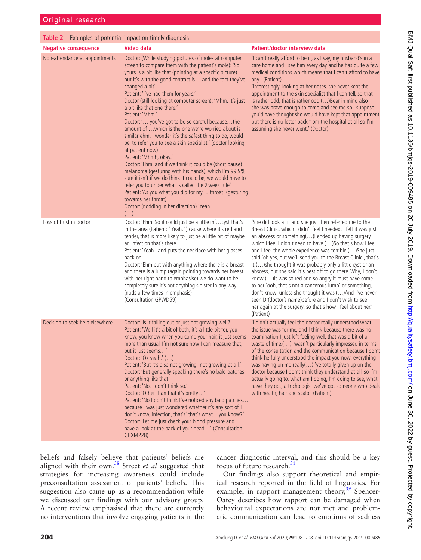<span id="page-6-0"></span>

| <b>Table 2</b> Examples of potential impact on timely diagnosis |                                                                                                                                                                                                                                                                                                                                                                                                                                                                                                                                                                                                                                                                                                                                                                                                                                                                                                                                                                                                                                                                                                  |                                                                                                                                                                                                                                                                                                                                                                                                                                                                                                                                                                                                                                                                                                                                                                                                                               |
|-----------------------------------------------------------------|--------------------------------------------------------------------------------------------------------------------------------------------------------------------------------------------------------------------------------------------------------------------------------------------------------------------------------------------------------------------------------------------------------------------------------------------------------------------------------------------------------------------------------------------------------------------------------------------------------------------------------------------------------------------------------------------------------------------------------------------------------------------------------------------------------------------------------------------------------------------------------------------------------------------------------------------------------------------------------------------------------------------------------------------------------------------------------------------------|-------------------------------------------------------------------------------------------------------------------------------------------------------------------------------------------------------------------------------------------------------------------------------------------------------------------------------------------------------------------------------------------------------------------------------------------------------------------------------------------------------------------------------------------------------------------------------------------------------------------------------------------------------------------------------------------------------------------------------------------------------------------------------------------------------------------------------|
| <b>Negative consequence</b>                                     | <b>Video data</b>                                                                                                                                                                                                                                                                                                                                                                                                                                                                                                                                                                                                                                                                                                                                                                                                                                                                                                                                                                                                                                                                                | Patient/doctor interview data                                                                                                                                                                                                                                                                                                                                                                                                                                                                                                                                                                                                                                                                                                                                                                                                 |
| Non-attendance at appointments                                  | Doctor: (While studying pictures of moles at computer<br>screen to compare them with the patient's mole): 'So<br>yours is a bit like that (pointing at a specific picture)<br>but it's with the good contrast is and the fact they've<br>changed a bit'<br>Patient: 'I've had them for years.'<br>Doctor (still looking at computer screen): 'Mhm. It's just<br>a bit like that one there.'<br>Patient: 'Mhm.'<br>Doctor: ' you've got to be so careful becausethe<br>amount of  which is the one we're worried about is<br>similar ehm. I wonder it's the safest thing to do, would<br>be, to refer you to see a skin specialist.' (doctor looking<br>at patient now)<br>Patient: 'Mhmh, okay.'<br>Doctor: 'Ehm, and if we think it could be (short pause)<br>melanoma (gesturing with his hands), which I'm 99.9%<br>sure it isn't if we do think it could be, we would have to<br>refer you to under what is called the 2 week rule'<br>Patient: 'As you what you did for my throat' (gesturing<br>towards her throat)<br>Doctor: (nodding in her direction) 'Yeah.'<br>$\left(\ldots\right)$ | 'I can't really afford to be ill, as I say, my husband's in a<br>care home and I see him every day and he has quite a few<br>medical conditions which means that I can't afford to have<br>any.' (Patient)<br>'Interestingly, looking at her notes, she never kept the<br>appointment to the skin specialist that I can tell, so that<br>is rather odd, that is rather odd.() Bear in mind also<br>she was brave enough to come and see me so I suppose<br>you'd have thought she would have kept that appointment<br>but there is no letter back from the hospital at all so I'm<br>assuming she never went.' (Doctor)                                                                                                                                                                                                       |
| Loss of trust in doctor                                         | Doctor: 'Ehm. So it could just be a little inf cyst that's<br>in the area (Patient: "Yeah.") cause where it's red and<br>tender, that is more likely to just be a little bit of maybe<br>an infection that's there.'<br>Patient: 'Yeah.' and puts the necklace with her glasses<br>back on.<br>Doctor: 'Ehm but with anything where there is a breast<br>and there is a lump (again pointing towards her breast<br>with her right hand to emphasise) we do want to be<br>completely sure it's not anything sinister in any way'<br>(nods a few times in emphasis)<br>(Consultation GPWD59)                                                                                                                                                                                                                                                                                                                                                                                                                                                                                                       | 'She did look at it and she just then referred me to the<br>Breast Clinic, which I didn't feel I needed, I felt it was just<br>an abscess or something() ended up having surgery<br>which I feel I didn't need to have.() So that's how I feel<br>and I feel the whole experience was terrible.() She just<br>said 'oh yes, but we'll send you to the Breast Clinic', that's<br>it,()she thought it was probably only a little cyst or an<br>abscess, but she said it's best off to go there. Why, I don't<br>know.() It was so red and so angry it must have come<br>to her 'ooh, that's not a cancerous lump' or something, I<br>don't know, unless she thought it was.()And I've never<br>seen Dr(doctor's name) before and I don't wish to see<br>her again at the surgery, so that's how I feel about her.'<br>(Patient) |
| Decision to seek help elsewhere                                 | Doctor: 'Is it falling out or just not growing well?'<br>Patient: 'Well it's a bit of both, it's a little bit for, you<br>know, you know when you comb your hair, it just seems<br>more than usual, I'm not sure how I can measure that,<br>but it just seems'<br>Doctor: 'Ok yeah.' ()<br>Patient: 'But it's also not growing- not growing at all.'<br>Doctor: 'But generally speaking there's no bald patches<br>or anything like that.'<br>Patient: 'No, I don't think so.'<br>Doctor: 'Other than that it's pretty'<br>Patient: 'No I don't think I've noticed any bald patches<br>because I was just wondered whether it's any sort of, I<br>don't know, infection, that's' that's whatyou know?'<br>Doctor: 'Let me just check your blood pressure and<br>have a look at the back of your head' (Consultation<br>GPXM228)                                                                                                                                                                                                                                                                  | 'I didn't actually feel the doctor really understood what<br>the issue was for me, and I think because there was no<br>examination I just left feeling well, that was a bit of a<br>waste of time.() wasn't particularly impressed in terms<br>of the consultation and the communication because I don't<br>think he fully understood the impact you now, everything<br>was having on me really()I've totally given up on the<br>doctor because I don't think they understand at all, so I'm<br>actually going to, what am I going, I'm going to see, what<br>have they got, a trichologist we've got someone who deals<br>with health, hair and scalp.' (Patient)                                                                                                                                                            |

beliefs and falsely believe that patients' beliefs are aligned with their own.[38](#page-9-23) Street *et al* suggested that strategies for increasing awareness could include preconsultation assessment of patients' beliefs. This suggestion also came up as a recommendation while we discussed our findings with our advisory group. A recent review emphasised that there are currently no interventions that involve engaging patients in the

cancer diagnostic interval, and this should be a key focus of future research.<sup>[31](#page-9-16)</sup>

Our findings also support theoretical and empirical research reported in the field of linguistics. For example, in rapport management theory,<sup>39</sup> Spencer-Oatey describes how rapport can be damaged when behavioural expectations are not met and problematic communication can lead to emotions of sadness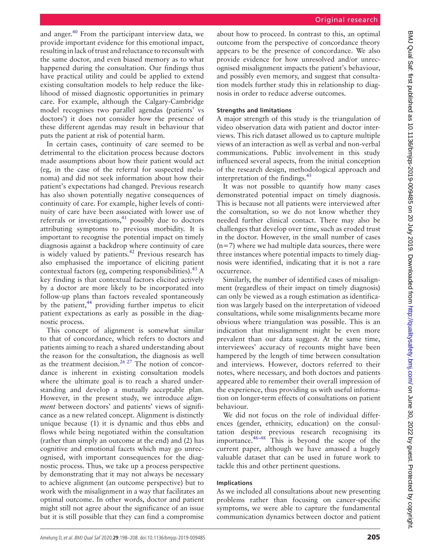and anger. $40$  From the participant interview data, we provide important evidence for this emotional impact, resulting in lack of trust and reluctance to reconsult with the same doctor, and even biased memory as to what happened during the consultation. Our findings thus have practical utility and could be applied to extend existing consultation models to help reduce the likelihood of missed diagnostic opportunities in primary care. For example, although the Calgary-Cambridge model recognises two parallel agendas (patients' vs doctors') it does not consider how the presence of these different agendas may result in behaviour that puts the patient at risk of potential harm.

In certain cases, continuity of care seemed to be detrimental to the elicitation process because doctors made assumptions about how their patient would act (eg, in the case of the referral for suspected melanoma) and did not seek information about how their patient's expectations had changed. Previous research has also shown potentially negative consequences of continuity of care. For example, higher levels of continuity of care have been associated with lower use of referrals or investigations,<sup>[41](#page-10-0)</sup> possibly due to doctors attributing symptoms to previous morbidity. It is important to recognise the potential impact on timely diagnosis against a backdrop where continuity of care is widely valued by patients.<sup>[42](#page-10-1)</sup> Previous research has also emphasised the importance of eliciting patient contextual factors (eg, competing responsibilities).  $43 \text{ A}$  $43 \text{ A}$ key finding is that contextual factors elicited actively by a doctor are more likely to be incorporated into follow-up plans than factors revealed spontaneously by the patient, $44$  providing further impetus to elicit patient expectations as early as possible in the diagnostic process.

This concept of alignment is somewhat similar to that of concordance, which refers to doctors and patients aiming to reach a shared understanding about the reason for the consultation, the diagnosis as well as the treatment decision.<sup>26 27</sup> The notion of concordance is inherent in existing consultation models where the ultimate goal is to reach a shared understanding and develop a mutually acceptable plan. However, in the present study, we introduce *alignment* between doctors' and patients' views of significance as a new related concept. Alignment is distinctly unique because (1) it is dynamic and thus ebbs and flows while being negotiated within the consultation (rather than simply an outcome at the end) and (2) has cognitive and emotional facets which may go unrecognised, with important consequences for the diagnostic process. Thus, we take up a process perspective by demonstrating that it may not always be necessary to achieve alignment (an outcome perspective) but to work with the misalignment in a way that facilitates an optimal outcome. In other words, doctor and patient might still not agree about the significance of an issue but it is still possible that they can find a compromise

about how to proceed. In contrast to this, an optimal outcome from the perspective of concordance theory appears to be the presence of concordance. We also provide evidence for how unresolved and/or unrecognised misalignment impacts the patient's behaviour, and possibly even memory, and suggest that consultation models further study this in relationship to diagnosis in order to reduce adverse outcomes.

# **Strengths and limitations**

A major strength of this study is the triangulation of video observation data with patient and doctor interviews. This rich dataset allowed us to capture multiple views of an interaction as well as verbal and non-verbal communications. Public involvement in this study influenced several aspects, from the initial conception of the research design, methodological approach and interpretation of the findings. $45$ 

It was not possible to quantify how many cases demonstrated potential impact on timely diagnosis. This is because not all patients were interviewed after the consultation, so we do not know whether they needed further clinical contact. There may also be challenges that develop over time, such as eroded trust in the doctor. However, in the small number of cases  $(n=7)$  where we had multiple data sources, there were three instances where potential impacts to timely diagnosis were identified, indicating that it is not a rare occurrence.

Similarly, the number of identified cases of misalignment (regardless of their impact on timely diagnosis) can only be viewed as a rough estimation as identification was largely based on the interpretation of videoed consultations, while some misalignments became more obvious where triangulation was possible. This is an indication that misalignment might be even more prevalent than our data suggest. At the same time, interviewees' accuracy of recounts might have been hampered by the length of time between consultation and interviews. However, doctors referred to their notes, where necessary, and both doctors and patients appeared able to remember their overall impression of the experience, thus providing us with useful information on longer-term effects of consultations on patient behaviour.

We did not focus on the role of individual differences (gender, ethnicity, education) on the consultation despite previous research recognising its importance. $46-48$  This is beyond the scope of the current paper, although we have amassed a hugely valuable dataset that can be used in future work to tackle this and other pertinent questions.

# **Implications**

As we included all consultations about new presenting problems rather than focusing on cancer-specific symptoms, we were able to capture the fundamental communication dynamics between doctor and patient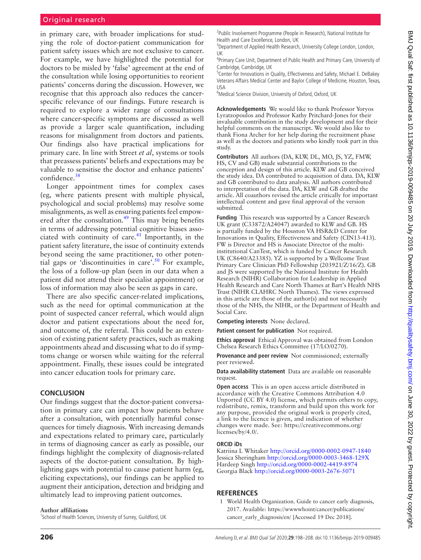in primary care, with broader implications for studying the role of doctor-patient communication for patient safety issues which are not exclusive to cancer. For example, we have highlighted the potential for doctors to be misled by 'false' agreement at the end of the consultation while losing opportunities to reorient patients' concerns during the discussion. However, we recognise that this approach also reduces the cancerspecific relevance of our findings. Future research is required to explore a wider range of consultations where cancer-specific symptoms are discussed as well as provide a larger scale quantification, including reasons for misalignment from doctors and patients. Our findings also have practical implications for primary care. In line with Street *et al*, systems or tools that preassess patients' beliefs and expectations may be valuable to sensitise the doctor and enhance patients' confidence.<sup>38</sup>

Longer appointment times for complex cases (eg, where patients present with multiple physical, psychological and social problems) may resolve some misalignments, as well as ensuring patients feel empowered after the consultation.<sup>49</sup> This may bring benefits in terms of addressing potential cognitive biases associated with continuity of care. $41$  Importantly, in the patient safety literature, the issue of continuity extends beyond seeing the same practitioner, to other potential gaps or 'discontinuities in care'.<sup>50</sup> For example, the loss of a follow-up plan (seen in our data when a patient did not attend their specialist appointment) or loss of information may also be seen as gaps in care.

There are also specific cancer-related implications, such as the need for optimal communication at the point of suspected cancer referral, which would align doctor and patient expectations about the need for, and outcome of, the referral. This could be an extension of existing patient safety practices, such as making appointments ahead and discussing what to do if symptoms change or worsen while waiting for the referral appointment. Finally, these issues could be integrated into cancer education tools for primary care.

#### **Conclusion**

Our findings suggest that the doctor-patient conversation in primary care can impact how patients behave after a consultation, with potentially harmful consequences for timely diagnosis. With increasing demands and expectations related to primary care, particularly in terms of diagnosing cancer as early as possible, our findings highlight the complexity of diagnosis-related aspects of the doctor-patient consultation. By highlighting gaps with potential to cause patient harm (eg, eliciting expectations), our findings can be applied to augment their anticipation, detection and bridging and ultimately lead to improving patient outcomes.

#### **Author affiliations**

<sup>1</sup>School of Health Sciences, University of Surrey, Guildford, UK

<sup>2</sup>Public Involvement Programme (People in Research), National Institute for Health and Care Excellence, London, UK

<sup>3</sup>Department of Applied Health Research, University College London, London, UK

<sup>4</sup>Primary Care Unit, Department of Public Health and Primary Care, University of Cambridge, Cambridge, UK

<sup>5</sup> Center for Innovations in Quality, Effectiveness and Safety, Michael E. DeBakey Veterans Affairs Medical Center and Baylor College of Medicine, Houston, Texas, USA

<sup>6</sup>Medical Science Division, University of Oxford, Oxford, UK

**Acknowledgements** We would like to thank Professor Yoryos Lyratzopoulos and Professor Kathy Pritchard-Jones for their invaluable contribution in the study development and for their helpful comments on the manuscript. We would also like to thank Fiona Archer for her help during the recruitment phase as well as the doctors and patients who kindly took part in this study.

**Contributors** All authors (DA, KLW, DL, MO, JS, YZ, FMW, HS, CV and GB) made substantial contributions to the conception and design of this article. KLW and GB conceived the study idea. DA contributed to acquisition of data. DA, KLW and GB contributed to data analysis. All authors contributed to interpretation of the data. DA, KLW and GB drafted the article. All coauthors revised the article critically for important intellectual content and gave final approval of the version submitted.

**Funding** This research was supported by a Cancer Research UK grant (C33872/A24047) awarded to KLW and GB. HS is partially funded by the Houston VA HSR&D Center for Innovations in Quality, Effectiveness and Safety (CIN13-413). FW is Director and HS is Associate Director of the multiinstitutional CanTest, which is funded by Cancer Research UK (C8640/A23385). YZ is supported by a Wellcome Trust Primary Care Clinician PhD Fellowship (203921/Z/16/Z). GB and JS were supported by the National Institute for Health Research (NIHR) Collaboration for Leadership in Applied Health Research and Care North Thames at Bart's Health NHS Trust (NIHR CLAHRC North Thames). The views expressed in this article are those of the author(s) and not necessarily those of the NHS, the NIHR, or the Department of Health and Social Care.

**Competing interests** None declared.

**Patient consent for publication** Not required.

**Ethics approval** Ethical Approval was obtained from London Chelsea Research Ethics Committee (17/LO/0270).

**Provenance and peer review** Not commissioned; externally peer reviewed.

**Data availability statement** Data are available on reasonable request.

**Open access** This is an open access article distributed in accordance with the Creative Commons Attribution 4.0 Unported (CC BY 4.0) license, which permits others to copy, redistribute, remix, transform and build upon this work for any purpose, provided the original work is properly cited, a link to the licence is given, and indication of whether changes were made. See: [https://creativecommons.org/](https://creativecommons.org/licenses/by/4.0/) [licenses/by/4.0/.](https://creativecommons.org/licenses/by/4.0/)

#### **ORCID iDs**

Katriina L Whitaker<http://orcid.org/0000-0002-0947-1840> Jessica Sheringham<http://orcid.org/0000-0003-3468-129X> Hardeep Singh<http://orcid.org/0000-0002-4419-8974> Georgia Black<http://orcid.org/0000-0003-2676-5071>

#### **References**

<span id="page-8-0"></span>1 World Health Organization. Guide to cancer early diagnosis, 2017. Available: [https://wwwwhoint/cancer/publications/](https://wwwwhoint/cancer/publications/cancer_early_diagnosis/en/) [cancer\\_early\\_diagnosis/en/](https://wwwwhoint/cancer/publications/cancer_early_diagnosis/en/) [Accessed 19 Dec 2018].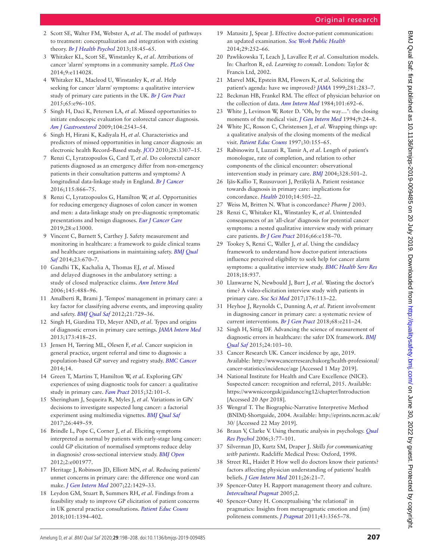- <span id="page-9-0"></span>2 Scott SE, Walter FM, Webster A, *et al*. The model of pathways to treatment: conceptualization and integration with existing theory. *[Br J Health Psychol](http://dx.doi.org/10.1111/j.2044-8287.2012.02077.x)* 2013;18:45–65.
- <span id="page-9-1"></span>3 Whitaker KL, Scott SE, Winstanley K, *et al*. Attributions of cancer 'alarm' symptoms in a community sample. *[PLoS One](http://dx.doi.org/10.1371/journal.pone.0114028)* 2014;9:e114028.
- 4 Whitaker KL, Macleod U, Winstanley K, *et al*. Help seeking for cancer 'alarm' symptoms: a qualitative interview study of primary care patients in the UK. *[Br J Gen Pract](http://dx.doi.org/10.3399/bjgp15X683533)* 2015;65:e96–105.
- <span id="page-9-2"></span>5 Singh H, Daci K, Petersen LA, *et al*. Missed opportunities to initiate endoscopic evaluation for colorectal cancer diagnosis. *[Am J Gastroenterol](http://dx.doi.org/10.1038/ajg.2009.324)* 2009;104:2543–54.
- 6 Singh H, Hirani K, Kadiyala H, *et al*. Characteristics and predictors of missed opportunities in lung cancer diagnosis: an electronic health Record–Based study. *[JCO](http://dx.doi.org/10.1200/JCO.2009.25.6636)* 2010;28:3307–15.
- <span id="page-9-3"></span>7 Renzi C, Lyratzopoulos G, Card T, *et al*. Do colorectal cancer patients diagnosed as an emergency differ from non-emergency patients in their consultation patterns and symptoms? A longitudinal data-linkage study in England. *[Br J Cancer](http://dx.doi.org/10.1038/bjc.2016.250)* 2016;115:866–75.
- 8 Renzi C, Lyratzopoulos G, Hamilton W, *et al*. Opportunities for reducing emergency diagnoses of colon cancer in women and men: a data-linkage study on pre-diagnostic symptomatic presentations and benign diagnoses. *[Eur J Cancer Care](http://dx.doi.org/10.1111/ecc.13000)* 2019;28:e13000.
- <span id="page-9-4"></span>9 Vincent C, Burnett S, Carthey J. Safety measurement and monitoring in healthcare: a framework to guide clinical teams and healthcare organisations in maintaining safety. *[BMJ Qual](http://dx.doi.org/10.1136/bmjqs-2013-002757)  [Saf](http://dx.doi.org/10.1136/bmjqs-2013-002757)* 2014;23:670–7.
- <span id="page-9-5"></span>10 Gandhi TK, Kachalia A, Thomas EJ, *et al*. Missed and delayed diagnoses in the ambulatory setting: a study of closed malpractice claims. *[Ann Intern Med](http://dx.doi.org/10.7326/0003-4819-145-7-200610030-00006)* 2006;145:488–96.
- 11 Amalberti R, Brami J. 'Tempos' management in primary care: a key factor for classifying adverse events, and improving quality and safety. *[BMJ Qual Saf](http://dx.doi.org/10.1136/bmjqs-2011-048710)* 2012;21:729–36.
- <span id="page-9-6"></span>12 Singh H, Giardina TD, Meyer AND, *et al*. Types and origins of diagnostic errors in primary care settings. *[JAMA Intern Med](http://dx.doi.org/10.1001/jamainternmed.2013.2777)* 2013;173:418–25.
- <span id="page-9-7"></span>13 Jensen H, Tørring ML, Olesen F, *et al*. Cancer suspicion in general practice, urgent referral and time to diagnosis: a population-based GP survey and registry study. *[BMC Cancer](http://dx.doi.org/10.1186/1471-2407-14-636)* 2014;14.
- 14 Green T, Martins T, Hamilton W, *et al*. Exploring GPs' experiences of using diagnostic tools for cancer: a qualitative study in primary care. *[Fam Pract](http://dx.doi.org/10.1093/fampra/cmu081)* 2015;32:101–5.
- <span id="page-9-8"></span>15 Sheringham J, Sequeira R, Myles J, *et al*. Variations in GPs' decisions to investigate suspected lung cancer: a factorial experiment using multimedia vignettes. *[BMJ Qual Saf](http://dx.doi.org/10.1136/bmjqs-2016-005679)* 2017;26:449–59.
- 16 Brindle L, Pope C, Corner J, *et al*. Eliciting symptoms interpreted as normal by patients with early-stage lung cancer: could GP elicitation of normalised symptoms reduce delay in diagnosis? cross-sectional interview study. *[BMJ Open](http://dx.doi.org/10.1136/bmjopen-2012-001977)* 2012;2:e001977.
- <span id="page-9-9"></span>17 Heritage J, Robinson JD, Elliott MN, *et al*. Reducing patients' unmet concerns in primary care: the difference one word can make. *[J Gen Intern Med](http://dx.doi.org/10.1007/s11606-007-0279-0)* 2007;22:1429–33.
- 18 Leydon GM, Stuart B, Summers RH, *et al*. Findings from a feasibility study to improve GP elicitation of patient concerns in UK general practice consultations. *[Patient Educ Couns](http://dx.doi.org/10.1016/j.pec.2018.03.009)* 2018;101:1394–402.
- <span id="page-9-10"></span>19 Matusitz J, Spear J. Effective doctor-patient communication: an updated examination. *[Soc Work Public Health](http://dx.doi.org/10.1080/19371918.2013.776416)* 2014;29:252–66.
- <span id="page-9-11"></span>20 Pawlikowska T, Leach J, Lavallee P, *et al*. Consultation models. In: Charlton R, ed. *Learning to consult*. London: Taylor & Francis Ltd, 2002.
- <span id="page-9-12"></span>21 Marvel MK, Epstein RM, Flowers K, *et al*. Soliciting the patient's agenda: have we improved? *[JAMA](http://dx.doi.org/10.1001/jama.281.3.283)* 1999;281:283–7.
- 22 Beckman HB, Frankel RM. The effect of physician behavior on the collection of data. *[Ann Intern Med](http://dx.doi.org/10.7326/0003-4819-101-5-692)* 1984;101:692–6.
- <span id="page-9-13"></span>23 White J, Levinson W, Roter D. "Oh, by the way…": the closing moments of the medical visit. *[J Gen Intern Med](http://dx.doi.org/10.1007/bf02599139)* 1994;9:24–8.
- 24 White JC, Rosson C, Christensen J, *et al*. Wrapping things up: a qualitative analysis of the closing moments of the medical visit. *[Patient Educ Couns](http://dx.doi.org/10.1016/S0738-3991(96)00962-7)* 1997;30:155–65.
- 25 Rabinowitz I, Luzzati R, Tamir A, *et al*. Length of patient's monologue, rate of completion, and relation to other components of the clinical encounter: observational intervention study in primary care. *[BMJ](http://dx.doi.org/10.1136/bmj.328.7438.501)* 2004;328:501–2.
- <span id="page-9-14"></span>26 Ijäs-Kallio T, Ruusuvuori J, Peräkylä A. Patient resistance towards diagnosis in primary care: implications for concordance. *[Health](http://dx.doi.org/10.1177/1363459309360798)* 2010;14:505–22.
- 27 Weiss M, Britten N. What is concordance? *Pharm J* 2003.
- <span id="page-9-15"></span>28 Renzi C, Whitaker KL, Winstanley K, *et al*. Unintended consequences of an 'all-clear' diagnosis for potential cancer symptoms: a nested qualitative interview study with primary care patients. *[Br J Gen Pract](http://dx.doi.org/10.3399/bjgp16X683845)* 2016;66:e158–70.
- 29 Tookey S, Renzi C, Waller J, *et al*. Using the candidacy framework to understand how doctor-patient interactions influence perceived eligibility to seek help for cancer alarm symptoms: a qualitative interview study. *[BMC Health Serv Res](http://dx.doi.org/10.1186/s12913-018-3730-5)* 2018;18:937.
- 30 Llanwarne N, Newbould J, Burt J, *et al*. Wasting the doctor's time? A video-elicitation interview study with patients in primary care. *[Soc Sci Med](http://dx.doi.org/10.1016/j.socscimed.2017.01.025)* 2017;176:113–22.
- <span id="page-9-16"></span>31 Heyhoe J, Reynolds C, Dunning A, *et al*. Patient involvement in diagnosing cancer in primary care: a systematic review of current interventions. *[Br J Gen Pract](http://dx.doi.org/10.3399/bjgp18X695045)* 2018;68:e211–24.
- <span id="page-9-17"></span>32 Singh H, Sittig DF. Advancing the science of measurement of diagnostic errors in healthcare: the safer DX framework. *[BMJ](http://dx.doi.org/10.1136/bmjqs-2014-003675)  [Qual Saf](http://dx.doi.org/10.1136/bmjqs-2014-003675)* 2015;24:103–10.
- <span id="page-9-18"></span>33 Cancer Research UK. Cancer incidence by age, 2019. Available: [http://wwwcancerresearchukorg/health-professional/](http://wwwcancerresearchukorg/health-professional/cancer-statistics/incidence/age) [cancer-statistics/incidence/age](http://wwwcancerresearchukorg/health-professional/cancer-statistics/incidence/age) [Accessed 1 May 2019].
- <span id="page-9-19"></span>34 National Institute for Health and Care Excellence (NICE). Suspected cancer: recognition and referral, 2015. Available: <https://wwwniceorguk/guidance/ng12/chapter/Introduction> [Accessed 20 Apr 2018].
- <span id="page-9-20"></span>35 Wengraf T. The Biographic-Narrative Interpretive Method (BNIM)-Shortguide, 2004. Available: [http://eprints.ncrm.ac.uk/](http://eprints.ncrm.ac.uk/30/) [30/](http://eprints.ncrm.ac.uk/30/) [Accessed 22 May 2019].
- <span id="page-9-21"></span>36 Braun V, Clarke V. Using thematic analysis in psychology. *[Qual](http://dx.doi.org/10.1191/1478088706qp063oa)  [Res Psychol](http://dx.doi.org/10.1191/1478088706qp063oa)* 2006;3:77–101.
- <span id="page-9-22"></span>37 Silverman JD, Kurtz SM, Draper J. *Skills for communicating with patients*. Radcliffe Medical Press: Oxford, 1998.
- <span id="page-9-23"></span>38 Street RL, Haidet P. How well do doctors know their patients? factors affecting physician understanding of patients' health beliefs. *[J Gen Intern Med](http://dx.doi.org/10.1007/s11606-010-1453-3)* 2011;26:21–7.
- <span id="page-9-24"></span>39 Spencer-Oatey H. Rapport management theory and culture. *[Intercultural Pragmat](http://dx.doi.org/10.1515/iprg.2005.2.3.335)* 2005;2.
- <span id="page-9-25"></span>40 Spencer-Oatey H. Conceptualising 'the relational' in pragmatics: Insights from metapragmatic emotion and (im) politeness comments. *[J Pragmat](http://dx.doi.org/10.1016/j.pragma.2011.08.009)* 2011;43:3565–78.